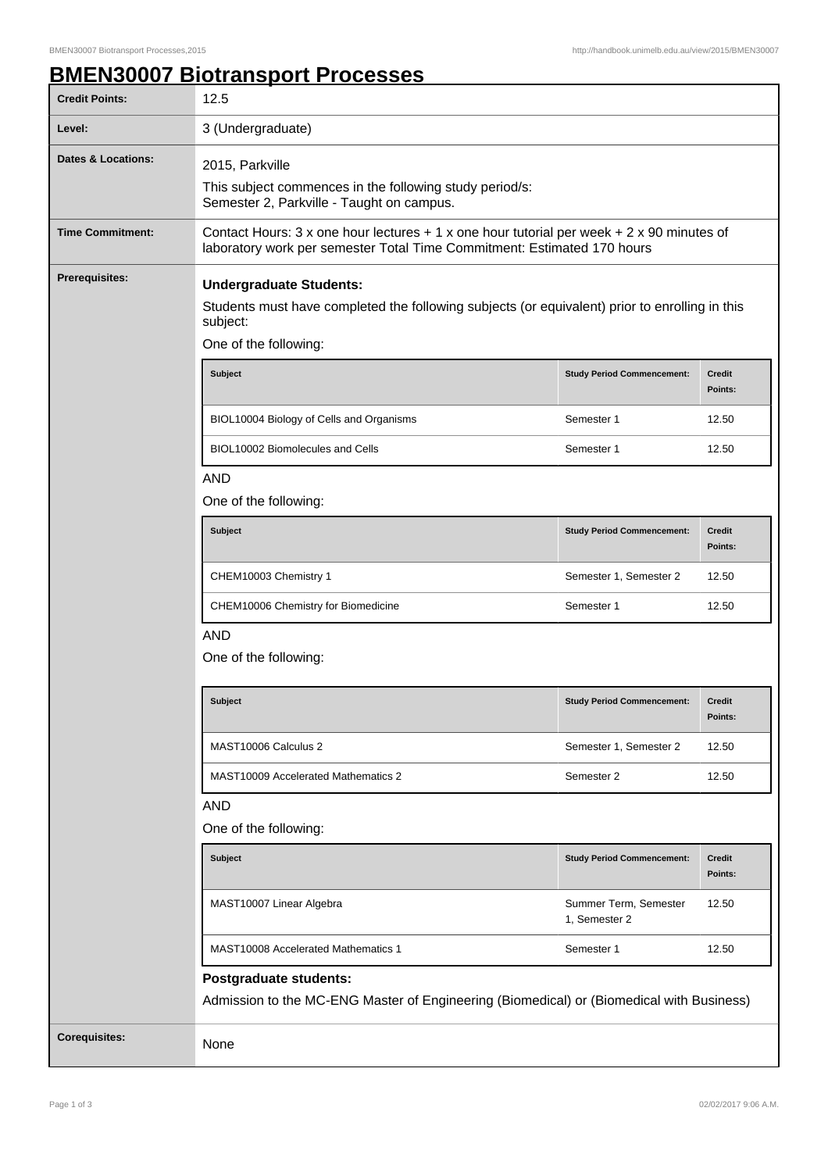## **BMEN30007 Biotransport Processes**

| <b>Credit Points:</b>         | 12.5                                                                                                                                                                   |                                        |                          |  |
|-------------------------------|------------------------------------------------------------------------------------------------------------------------------------------------------------------------|----------------------------------------|--------------------------|--|
| Level:                        | 3 (Undergraduate)                                                                                                                                                      |                                        |                          |  |
| <b>Dates &amp; Locations:</b> | 2015, Parkville<br>This subject commences in the following study period/s:<br>Semester 2, Parkville - Taught on campus.                                                |                                        |                          |  |
| <b>Time Commitment:</b>       | Contact Hours: 3 x one hour lectures $+1$ x one hour tutorial per week $+2$ x 90 minutes of<br>laboratory work per semester Total Time Commitment: Estimated 170 hours |                                        |                          |  |
| <b>Prerequisites:</b>         | <b>Undergraduate Students:</b><br>Students must have completed the following subjects (or equivalent) prior to enrolling in this<br>subject:<br>One of the following:  |                                        |                          |  |
|                               | <b>Subject</b>                                                                                                                                                         | <b>Study Period Commencement:</b>      | <b>Credit</b><br>Points: |  |
|                               | BIOL10004 Biology of Cells and Organisms                                                                                                                               | Semester 1                             | 12.50                    |  |
|                               | BIOL10002 Biomolecules and Cells                                                                                                                                       | Semester 1                             | 12.50                    |  |
|                               | <b>AND</b><br>One of the following:                                                                                                                                    |                                        |                          |  |
|                               | <b>Subject</b>                                                                                                                                                         | <b>Study Period Commencement:</b>      | <b>Credit</b><br>Points: |  |
|                               | CHEM10003 Chemistry 1                                                                                                                                                  | Semester 1, Semester 2                 | 12.50                    |  |
|                               | CHEM10006 Chemistry for Biomedicine                                                                                                                                    | Semester 1                             | 12.50                    |  |
|                               | <b>AND</b><br>One of the following:                                                                                                                                    |                                        |                          |  |
|                               | <b>Subject</b>                                                                                                                                                         | <b>Study Period Commencement:</b>      | <b>Credit</b><br>Points: |  |
|                               | MAST10006 Calculus 2                                                                                                                                                   | Semester 1, Semester 2                 | 12.50                    |  |
|                               | MAST10009 Accelerated Mathematics 2                                                                                                                                    | Semester 2                             | 12.50                    |  |
|                               | <b>AND</b><br>One of the following:                                                                                                                                    |                                        |                          |  |
|                               | Subject                                                                                                                                                                | <b>Study Period Commencement:</b>      | <b>Credit</b><br>Points: |  |
|                               | MAST10007 Linear Algebra                                                                                                                                               | Summer Term, Semester<br>1, Semester 2 | 12.50                    |  |
|                               | MAST10008 Accelerated Mathematics 1                                                                                                                                    | Semester 1                             | 12.50                    |  |
|                               | Postgraduate students:<br>Admission to the MC-ENG Master of Engineering (Biomedical) or (Biomedical with Business)                                                     |                                        |                          |  |
| <b>Corequisites:</b>          | None                                                                                                                                                                   |                                        |                          |  |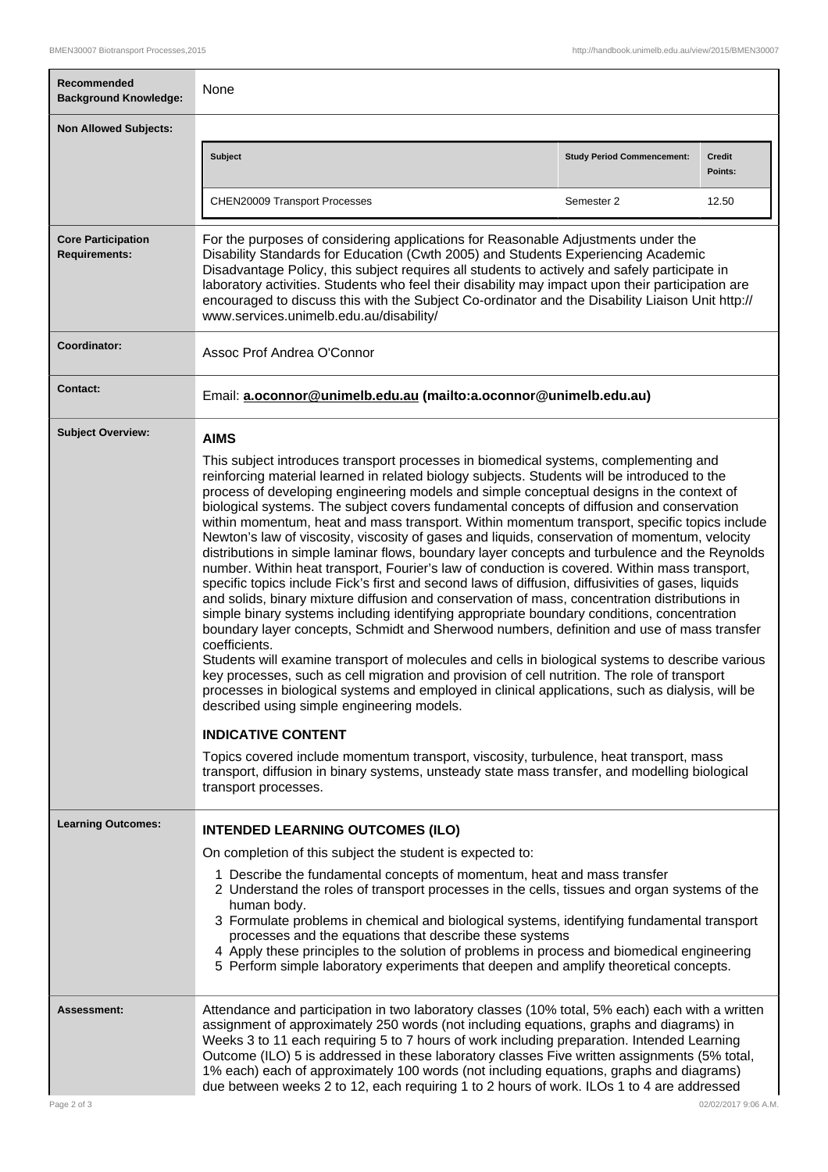| Recommended<br><b>Background Knowledge:</b>       | None                                                                                                                                                                                                                                                                                                                                                                                                                                                                                                                                                                                                                                                                                                                                                                                                                                                                                                                                                                                                                                                                                                                                                                                                                                                                                                                                                                                                                                                                                                                                                                                                                                                                                                                                                                                                         |                                   |                   |
|---------------------------------------------------|--------------------------------------------------------------------------------------------------------------------------------------------------------------------------------------------------------------------------------------------------------------------------------------------------------------------------------------------------------------------------------------------------------------------------------------------------------------------------------------------------------------------------------------------------------------------------------------------------------------------------------------------------------------------------------------------------------------------------------------------------------------------------------------------------------------------------------------------------------------------------------------------------------------------------------------------------------------------------------------------------------------------------------------------------------------------------------------------------------------------------------------------------------------------------------------------------------------------------------------------------------------------------------------------------------------------------------------------------------------------------------------------------------------------------------------------------------------------------------------------------------------------------------------------------------------------------------------------------------------------------------------------------------------------------------------------------------------------------------------------------------------------------------------------------------------|-----------------------------------|-------------------|
| <b>Non Allowed Subjects:</b>                      |                                                                                                                                                                                                                                                                                                                                                                                                                                                                                                                                                                                                                                                                                                                                                                                                                                                                                                                                                                                                                                                                                                                                                                                                                                                                                                                                                                                                                                                                                                                                                                                                                                                                                                                                                                                                              |                                   |                   |
|                                                   | <b>Subject</b>                                                                                                                                                                                                                                                                                                                                                                                                                                                                                                                                                                                                                                                                                                                                                                                                                                                                                                                                                                                                                                                                                                                                                                                                                                                                                                                                                                                                                                                                                                                                                                                                                                                                                                                                                                                               | <b>Study Period Commencement:</b> | Credit<br>Points: |
|                                                   | CHEN20009 Transport Processes                                                                                                                                                                                                                                                                                                                                                                                                                                                                                                                                                                                                                                                                                                                                                                                                                                                                                                                                                                                                                                                                                                                                                                                                                                                                                                                                                                                                                                                                                                                                                                                                                                                                                                                                                                                | Semester 2                        | 12.50             |
| <b>Core Participation</b><br><b>Requirements:</b> | For the purposes of considering applications for Reasonable Adjustments under the<br>Disability Standards for Education (Cwth 2005) and Students Experiencing Academic<br>Disadvantage Policy, this subject requires all students to actively and safely participate in<br>laboratory activities. Students who feel their disability may impact upon their participation are<br>encouraged to discuss this with the Subject Co-ordinator and the Disability Liaison Unit http://<br>www.services.unimelb.edu.au/disability/                                                                                                                                                                                                                                                                                                                                                                                                                                                                                                                                                                                                                                                                                                                                                                                                                                                                                                                                                                                                                                                                                                                                                                                                                                                                                  |                                   |                   |
| Coordinator:                                      | Assoc Prof Andrea O'Connor                                                                                                                                                                                                                                                                                                                                                                                                                                                                                                                                                                                                                                                                                                                                                                                                                                                                                                                                                                                                                                                                                                                                                                                                                                                                                                                                                                                                                                                                                                                                                                                                                                                                                                                                                                                   |                                   |                   |
| Contact:                                          | Email: a.oconnor@unimelb.edu.au (mailto:a.oconnor@unimelb.edu.au)                                                                                                                                                                                                                                                                                                                                                                                                                                                                                                                                                                                                                                                                                                                                                                                                                                                                                                                                                                                                                                                                                                                                                                                                                                                                                                                                                                                                                                                                                                                                                                                                                                                                                                                                            |                                   |                   |
| <b>Subject Overview:</b>                          | <b>AIMS</b>                                                                                                                                                                                                                                                                                                                                                                                                                                                                                                                                                                                                                                                                                                                                                                                                                                                                                                                                                                                                                                                                                                                                                                                                                                                                                                                                                                                                                                                                                                                                                                                                                                                                                                                                                                                                  |                                   |                   |
|                                                   | This subject introduces transport processes in biomedical systems, complementing and<br>reinforcing material learned in related biology subjects. Students will be introduced to the<br>process of developing engineering models and simple conceptual designs in the context of<br>biological systems. The subject covers fundamental concepts of diffusion and conservation<br>within momentum, heat and mass transport. Within momentum transport, specific topics include<br>Newton's law of viscosity, viscosity of gases and liquids, conservation of momentum, velocity<br>distributions in simple laminar flows, boundary layer concepts and turbulence and the Reynolds<br>number. Within heat transport, Fourier's law of conduction is covered. Within mass transport,<br>specific topics include Fick's first and second laws of diffusion, diffusivities of gases, liquids<br>and solids, binary mixture diffusion and conservation of mass, concentration distributions in<br>simple binary systems including identifying appropriate boundary conditions, concentration<br>boundary layer concepts, Schmidt and Sherwood numbers, definition and use of mass transfer<br>coefficients.<br>Students will examine transport of molecules and cells in biological systems to describe various<br>key processes, such as cell migration and provision of cell nutrition. The role of transport<br>processes in biological systems and employed in clinical applications, such as dialysis, will be<br>described using simple engineering models.<br><b>INDICATIVE CONTENT</b><br>Topics covered include momentum transport, viscosity, turbulence, heat transport, mass<br>transport, diffusion in binary systems, unsteady state mass transfer, and modelling biological<br>transport processes. |                                   |                   |
| <b>Learning Outcomes:</b>                         | <b>INTENDED LEARNING OUTCOMES (ILO)</b>                                                                                                                                                                                                                                                                                                                                                                                                                                                                                                                                                                                                                                                                                                                                                                                                                                                                                                                                                                                                                                                                                                                                                                                                                                                                                                                                                                                                                                                                                                                                                                                                                                                                                                                                                                      |                                   |                   |
|                                                   | On completion of this subject the student is expected to:                                                                                                                                                                                                                                                                                                                                                                                                                                                                                                                                                                                                                                                                                                                                                                                                                                                                                                                                                                                                                                                                                                                                                                                                                                                                                                                                                                                                                                                                                                                                                                                                                                                                                                                                                    |                                   |                   |
|                                                   | 1 Describe the fundamental concepts of momentum, heat and mass transfer<br>2 Understand the roles of transport processes in the cells, tissues and organ systems of the<br>human body.<br>3 Formulate problems in chemical and biological systems, identifying fundamental transport<br>processes and the equations that describe these systems<br>4 Apply these principles to the solution of problems in process and biomedical engineering<br>5 Perform simple laboratory experiments that deepen and amplify theoretical concepts.                                                                                                                                                                                                                                                                                                                                                                                                                                                                                                                                                                                                                                                                                                                                                                                                                                                                                                                                                                                                                                                                                                                                                                                                                                                                       |                                   |                   |
| Assessment:                                       | Attendance and participation in two laboratory classes (10% total, 5% each) each with a written<br>assignment of approximately 250 words (not including equations, graphs and diagrams) in<br>Weeks 3 to 11 each requiring 5 to 7 hours of work including preparation. Intended Learning<br>Outcome (ILO) 5 is addressed in these laboratory classes Five written assignments (5% total,<br>1% each) each of approximately 100 words (not including equations, graphs and diagrams)<br>due between weeks 2 to 12, each requiring 1 to 2 hours of work. ILOs 1 to 4 are addressed                                                                                                                                                                                                                                                                                                                                                                                                                                                                                                                                                                                                                                                                                                                                                                                                                                                                                                                                                                                                                                                                                                                                                                                                                             |                                   |                   |